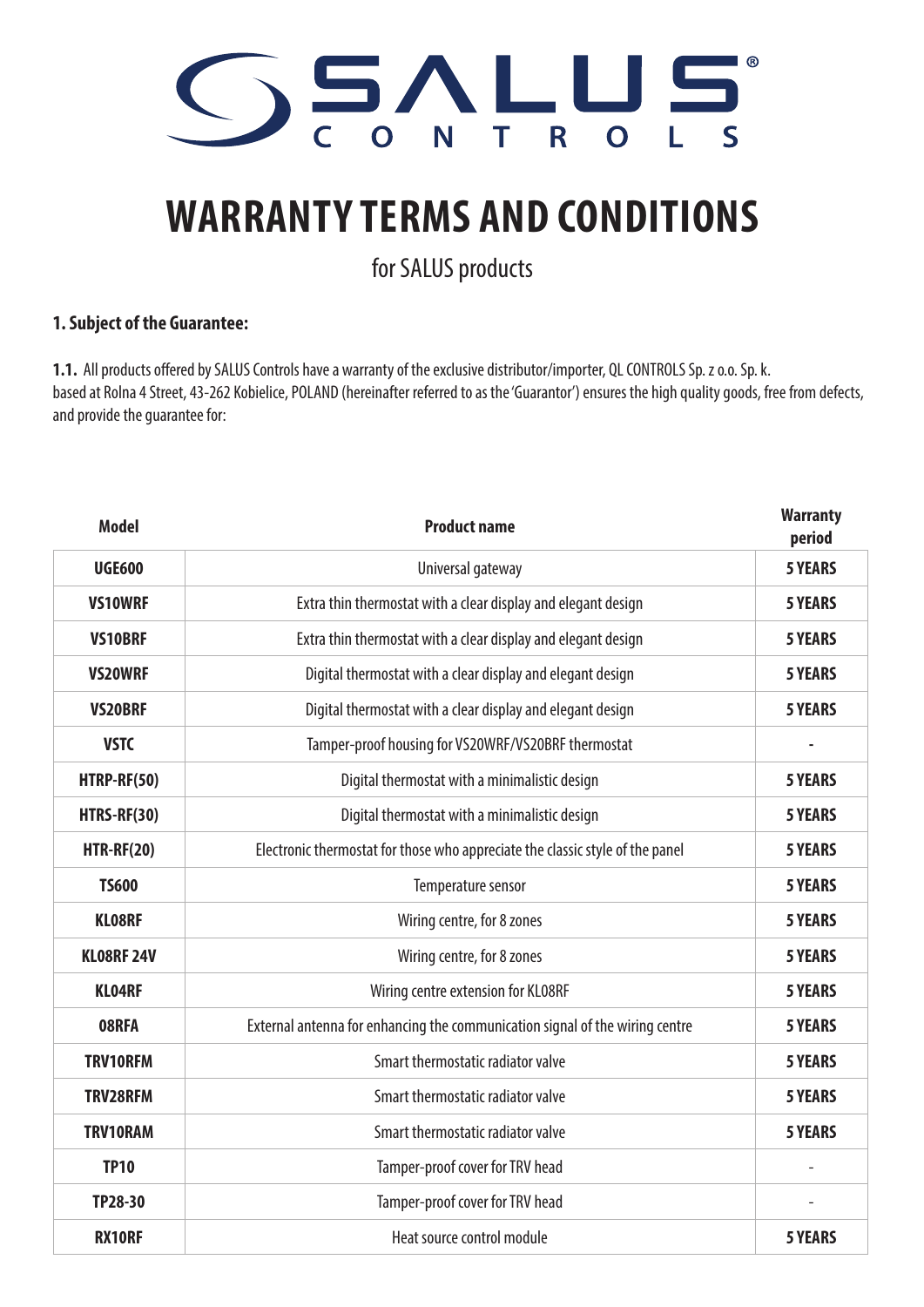

## **WARRANTY TERMS AND CONDITIONS**

for SALUS products

## **1. Subject of the Guarantee:**

**1.1.** All products offered by SALUS Controls have a warranty of the exclusive distributor/importer, QL CONTROLS Sp. z o.o. Sp. k. based at Rolna 4 Street, 43-262 Kobielice, POLAND (hereinafter referred to as the 'Guarantor') ensures the high quality goods, free from defects, and provide the guarantee for:

| <b>Model</b>      | <b>Product name</b>                                                           | <b>Warranty</b><br>period |
|-------------------|-------------------------------------------------------------------------------|---------------------------|
| <b>UGE600</b>     | Universal gateway                                                             | <b>5 YEARS</b>            |
| <b>VS10WRF</b>    | Extra thin thermostat with a clear display and elegant design                 | <b>5 YEARS</b>            |
| <b>VS10BRF</b>    | Extra thin thermostat with a clear display and elegant design                 | <b>5 YEARS</b>            |
| <b>VS20WRF</b>    | Digital thermostat with a clear display and elegant design                    | <b>5 YEARS</b>            |
| <b>VS20BRF</b>    | Digital thermostat with a clear display and elegant design                    | <b>5 YEARS</b>            |
| <b>VSTC</b>       | Tamper-proof housing for VS20WRF/VS20BRF thermostat                           |                           |
| HTRP-RF(50)       | Digital thermostat with a minimalistic design                                 | <b>5 YEARS</b>            |
| HTRS-RF(30)       | Digital thermostat with a minimalistic design                                 | <b>5 YEARS</b>            |
| <b>HTR-RF(20)</b> | Electronic thermostat for those who appreciate the classic style of the panel | <b>5 YEARS</b>            |
| <b>TS600</b>      | Temperature sensor                                                            | <b>5 YEARS</b>            |
| <b>KLO8RF</b>     | Wiring centre, for 8 zones                                                    | <b>5 YEARS</b>            |
| <b>KLO8RF 24V</b> | Wiring centre, for 8 zones                                                    | <b>5 YEARS</b>            |
| <b>KLO4RF</b>     | Wiring centre extension for KL08RF                                            | <b>5 YEARS</b>            |
| 08RFA             | External antenna for enhancing the communication signal of the wiring centre  | <b>5 YEARS</b>            |
| <b>TRV10RFM</b>   | Smart thermostatic radiator valve                                             | <b>5 YEARS</b>            |
| <b>TRV28RFM</b>   | Smart thermostatic radiator valve                                             | <b>5 YEARS</b>            |
| TRV10RAM          | Smart thermostatic radiator valve                                             | <b>5 YEARS</b>            |
| <b>TP10</b>       | Tamper-proof cover for TRV head                                               |                           |
| TP28-30           | Tamper-proof cover for TRV head                                               |                           |
| <b>RX10RF</b>     | Heat source control module                                                    | <b>5 YEARS</b>            |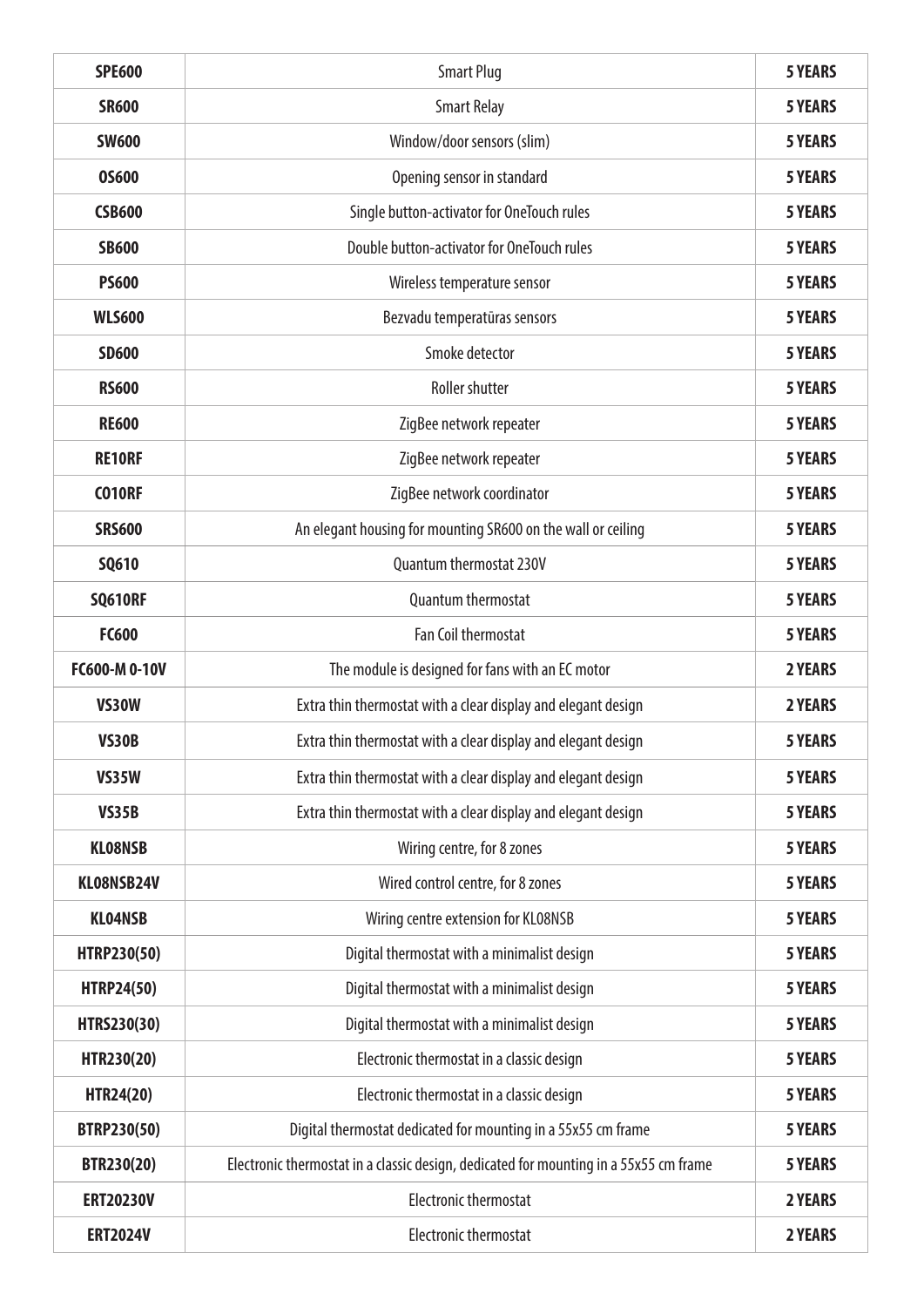| <b>SPE600</b>      | <b>Smart Plug</b>                                                                     | <b>5 YEARS</b> |
|--------------------|---------------------------------------------------------------------------------------|----------------|
| <b>SR600</b>       | <b>Smart Relay</b>                                                                    | <b>5 YEARS</b> |
| <b>SW600</b>       | Window/door sensors (slim)                                                            | <b>5 YEARS</b> |
| <b>05600</b>       | Opening sensor in standard                                                            | <b>5 YEARS</b> |
| <b>CSB600</b>      | Single button-activator for OneTouch rules                                            | <b>5 YEARS</b> |
| <b>SB600</b>       | Double button-activator for OneTouch rules                                            | <b>5 YEARS</b> |
| <b>PS600</b>       | Wireless temperature sensor                                                           | <b>5 YEARS</b> |
| <b>WLS600</b>      | Bezvadu temperatūras sensors                                                          | <b>5 YEARS</b> |
| <b>SD600</b>       | Smoke detector                                                                        | <b>5 YEARS</b> |
| <b>RS600</b>       | <b>Roller shutter</b>                                                                 | <b>5 YEARS</b> |
| <b>RE600</b>       | ZigBee network repeater                                                               | <b>5 YEARS</b> |
| <b>RE10RF</b>      | ZigBee network repeater                                                               | <b>5 YEARS</b> |
| <b>CO10RF</b>      | ZigBee network coordinator                                                            | <b>5 YEARS</b> |
| <b>SRS600</b>      | An elegant housing for mounting SR600 on the wall or ceiling                          | <b>5 YEARS</b> |
| <b>SQ610</b>       | Quantum thermostat 230V                                                               | <b>5 YEARS</b> |
| <b>SQ610RF</b>     | <b>Quantum thermostat</b>                                                             | <b>5 YEARS</b> |
| <b>FC600</b>       | <b>Fan Coil thermostat</b>                                                            | <b>5 YEARS</b> |
| FC600-M 0-10V      | The module is designed for fans with an EC motor                                      | <b>2 YEARS</b> |
| <b>VS30W</b>       | Extra thin thermostat with a clear display and elegant design                         | 2 YEARS        |
| <b>VS30B</b>       | Extra thin thermostat with a clear display and elegant design                         | <b>5 YEARS</b> |
| <b>VS35W</b>       | Extra thin thermostat with a clear display and elegant design                         | <b>5 YEARS</b> |
| <b>VS35B</b>       | Extra thin thermostat with a clear display and elegant design                         | <b>5 YEARS</b> |
| <b>KLO8NSB</b>     | Wiring centre, for 8 zones                                                            | <b>5 YEARS</b> |
| KLO8NSB24V         | Wired control centre, for 8 zones                                                     | <b>5 YEARS</b> |
| <b>KLO4NSB</b>     | Wiring centre extension for KL08NSB                                                   | <b>5 YEARS</b> |
| HTRP230(50)        | Digital thermostat with a minimalist design                                           | <b>5 YEARS</b> |
| <b>HTRP24(50)</b>  | Digital thermostat with a minimalist design                                           | <b>5 YEARS</b> |
| HTRS230(30)        | Digital thermostat with a minimalist design                                           | <b>5 YEARS</b> |
| HTR230(20)         | Electronic thermostat in a classic design                                             | <b>5 YEARS</b> |
| <b>HTR24(20)</b>   | Electronic thermostat in a classic design                                             | <b>5 YEARS</b> |
| <b>BTRP230(50)</b> | Digital thermostat dedicated for mounting in a 55x55 cm frame                         | <b>5 YEARS</b> |
| BTR230(20)         | Electronic thermostat in a classic design, dedicated for mounting in a 55x55 cm frame | <b>5 YEARS</b> |
| <b>ERT20230V</b>   | <b>Electronic thermostat</b>                                                          | 2 YEARS        |
| <b>ERT2024V</b>    | <b>Electronic thermostat</b>                                                          | 2 YEARS        |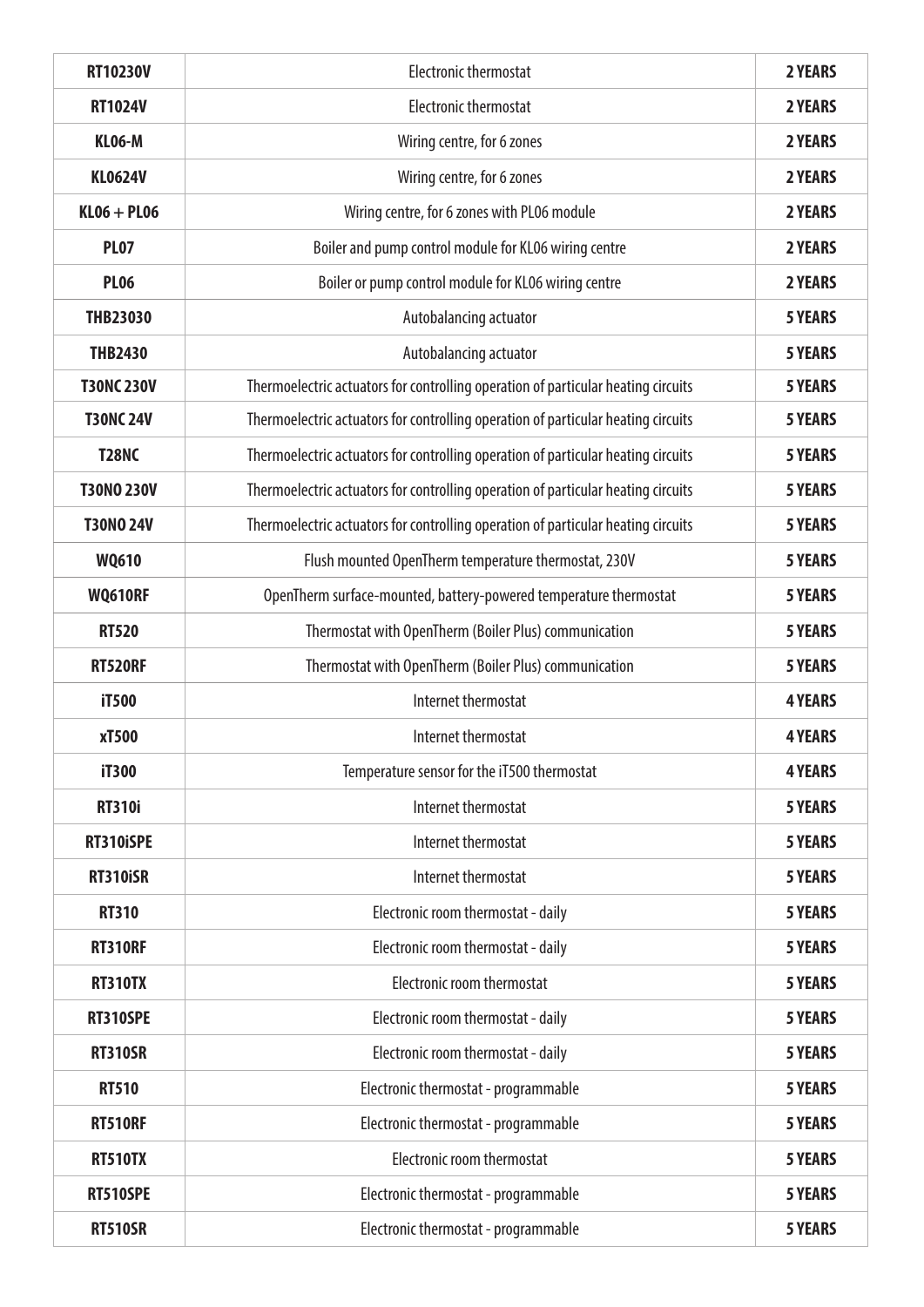| <b>RT10230V</b>   | <b>Electronic thermostat</b>                                                      | 2 YEARS        |
|-------------------|-----------------------------------------------------------------------------------|----------------|
| <b>RT1024V</b>    | <b>Electronic thermostat</b>                                                      | 2 YEARS        |
| <b>KL06-M</b>     | Wiring centre, for 6 zones                                                        | 2 YEARS        |
| <b>KL0624V</b>    | Wiring centre, for 6 zones                                                        | 2 YEARS        |
| $KLO6 + PL06$     | Wiring centre, for 6 zones with PL06 module                                       | 2 YEARS        |
| <b>PL07</b>       | Boiler and pump control module for KL06 wiring centre                             | 2 YEARS        |
| <b>PL06</b>       | Boiler or pump control module for KL06 wiring centre                              | 2 YEARS        |
| <b>THB23030</b>   | Autobalancing actuator                                                            | <b>5 YEARS</b> |
| <b>THB2430</b>    | Autobalancing actuator                                                            | <b>5 YEARS</b> |
| <b>T30NC 230V</b> | Thermoelectric actuators for controlling operation of particular heating circuits | <b>5 YEARS</b> |
| <b>T30NC 24V</b>  | Thermoelectric actuators for controlling operation of particular heating circuits | <b>5 YEARS</b> |
| <b>T28NC</b>      | Thermoelectric actuators for controlling operation of particular heating circuits | <b>5 YEARS</b> |
| <b>T30NO 230V</b> | Thermoelectric actuators for controlling operation of particular heating circuits | <b>5 YEARS</b> |
| <b>T30NO 24V</b>  | Thermoelectric actuators for controlling operation of particular heating circuits | <b>5 YEARS</b> |
| <b>WQ610</b>      | Flush mounted OpenTherm temperature thermostat, 230V                              | <b>5 YEARS</b> |
| <b>WQ610RF</b>    | OpenTherm surface-mounted, battery-powered temperature thermostat                 | <b>5 YEARS</b> |
| <b>RT520</b>      | Thermostat with OpenTherm (Boiler Plus) communication                             | <b>5 YEARS</b> |
| <b>RT520RF</b>    | Thermostat with OpenTherm (Boiler Plus) communication                             | <b>5 YEARS</b> |
| iT500             | Internet thermostat                                                               | <b>4 YEARS</b> |
| xT500             | Internet thermostat                                                               | <b>4 YEARS</b> |
| iT300             | Temperature sensor for the iT500 thermostat                                       | <b>4 YEARS</b> |
| <b>RT310i</b>     | Internet thermostat                                                               | <b>5 YEARS</b> |
| RT310iSPE         | Internet thermostat                                                               | <b>5 YEARS</b> |
| <b>RT310iSR</b>   | Internet thermostat                                                               | <b>5 YEARS</b> |
| <b>RT310</b>      | Electronic room thermostat - daily                                                | <b>5 YEARS</b> |
| <b>RT310RF</b>    | Electronic room thermostat - daily                                                | <b>5 YEARS</b> |
| <b>RT310TX</b>    | Electronic room thermostat                                                        | <b>5 YEARS</b> |
| <b>RT310SPE</b>   | Electronic room thermostat - daily                                                | <b>5 YEARS</b> |
| <b>RT310SR</b>    | Electronic room thermostat - daily                                                | <b>5 YEARS</b> |
| <b>RT510</b>      | Electronic thermostat - programmable                                              | <b>5 YEARS</b> |
| <b>RT510RF</b>    | Electronic thermostat - programmable                                              | <b>5 YEARS</b> |
| <b>RT510TX</b>    | Electronic room thermostat                                                        | <b>5 YEARS</b> |
| <b>RT510SPE</b>   | Electronic thermostat - programmable                                              | <b>5 YEARS</b> |
| <b>RT510SR</b>    | Electronic thermostat - programmable                                              | <b>5 YEARS</b> |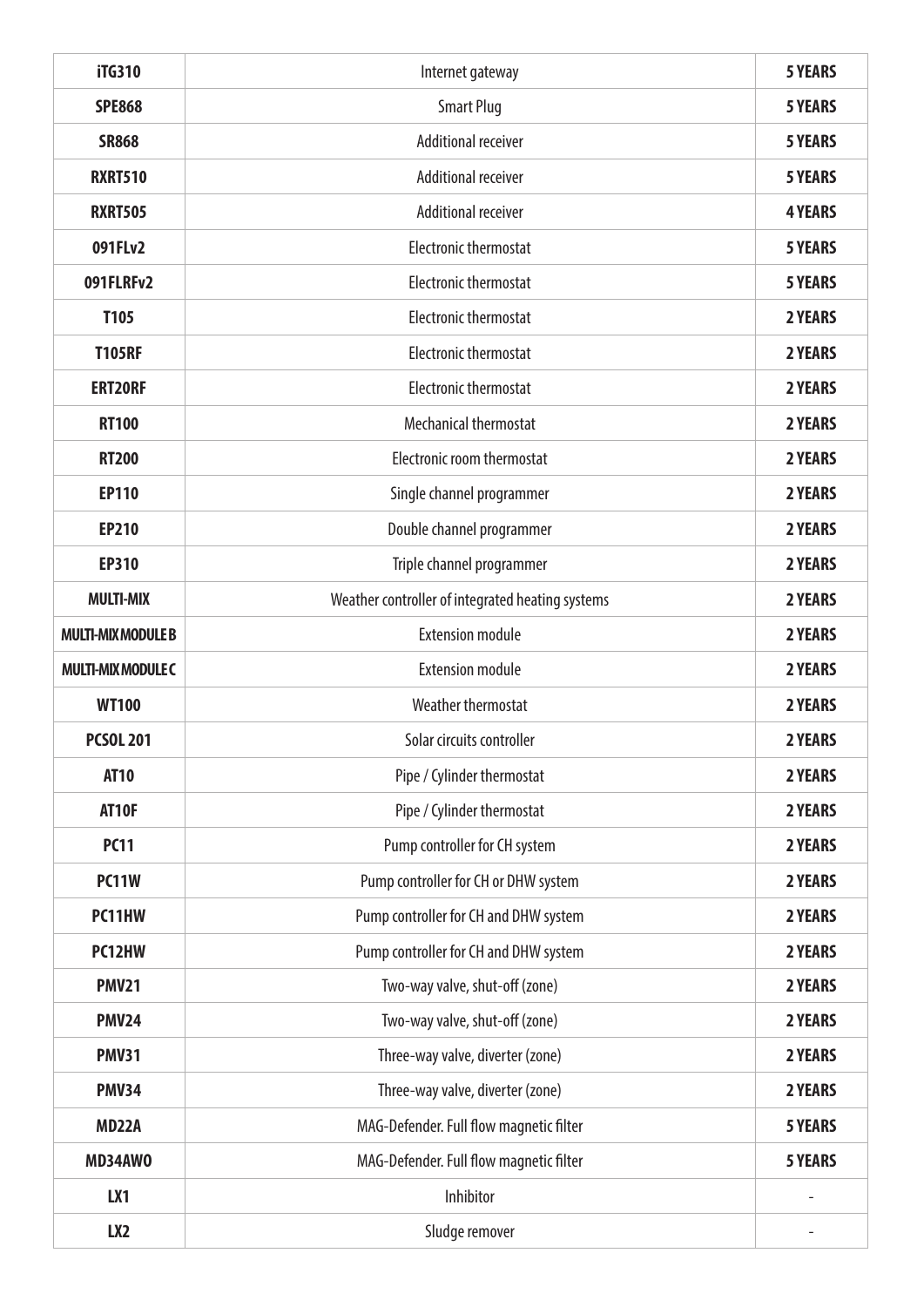| <b>iTG310</b>             | Internet gateway                                 | <b>5 YEARS</b> |
|---------------------------|--------------------------------------------------|----------------|
| <b>SPE868</b>             | <b>Smart Plug</b>                                | <b>5 YEARS</b> |
| <b>SR868</b>              | <b>Additional receiver</b>                       | <b>5 YEARS</b> |
| <b>RXRT510</b>            | <b>Additional receiver</b>                       | <b>5 YEARS</b> |
| <b>RXRT505</b>            | <b>Additional receiver</b>                       | <b>4 YEARS</b> |
| 091FLv2                   | <b>Electronic thermostat</b>                     | <b>5 YEARS</b> |
| 091FLRFv2                 | <b>Electronic thermostat</b>                     | <b>5 YEARS</b> |
| T105                      | <b>Electronic thermostat</b>                     | 2 YEARS        |
| <b>T105RF</b>             | <b>Electronic thermostat</b>                     | 2 YEARS        |
| <b>ERT20RF</b>            | <b>Electronic thermostat</b>                     | 2 YEARS        |
| <b>RT100</b>              | <b>Mechanical thermostat</b>                     | 2 YEARS        |
| <b>RT200</b>              | <b>Electronic room thermostat</b>                | 2 YEARS        |
| <b>EP110</b>              | Single channel programmer                        | <b>2 YEARS</b> |
| <b>EP210</b>              | Double channel programmer                        | 2 YEARS        |
| <b>EP310</b>              | Triple channel programmer                        | 2 YEARS        |
| <b>MULTI-MIX</b>          | Weather controller of integrated heating systems | 2 YEARS        |
| <b>MULTI-MIX MODULE B</b> | <b>Extension module</b>                          | 2 YEARS        |
| <b>MULTI-MIX MODULE C</b> | <b>Extension module</b>                          | 2 YEARS        |
| <b>WT100</b>              | Weather thermostat                               | 2 YEARS        |
| <b>PCSOL 201</b>          | Solar circuits controller                        | 2 YEARS        |
| <b>AT10</b>               | Pipe / Cylinder thermostat                       | 2 YEARS        |
| AT10F                     | Pipe / Cylinder thermostat                       | 2 YEARS        |
| <b>PC11</b>               | Pump controller for CH system                    | 2 YEARS        |
| <b>PC11W</b>              | Pump controller for CH or DHW system             | 2 YEARS        |
| PC11HW                    | Pump controller for CH and DHW system            | 2 YEARS        |
| PC12HW                    | Pump controller for CH and DHW system            | 2 YEARS        |
| <b>PMV21</b>              | Two-way valve, shut-off (zone)                   | 2 YEARS        |
| <b>PMV24</b>              | Two-way valve, shut-off (zone)                   | 2 YEARS        |
| <b>PMV31</b>              | Three-way valve, diverter (zone)                 | 2 YEARS        |
| <b>PMV34</b>              | Three-way valve, diverter (zone)                 | 2 YEARS        |
| <b>MD22A</b>              | MAG-Defender. Full flow magnetic filter          | <b>5 YEARS</b> |
| MD34AW0                   | MAG-Defender. Full flow magnetic filter          | <b>5 YEARS</b> |
| LX1                       | Inhibitor                                        |                |
| LX <sub>2</sub>           | Sludge remover                                   |                |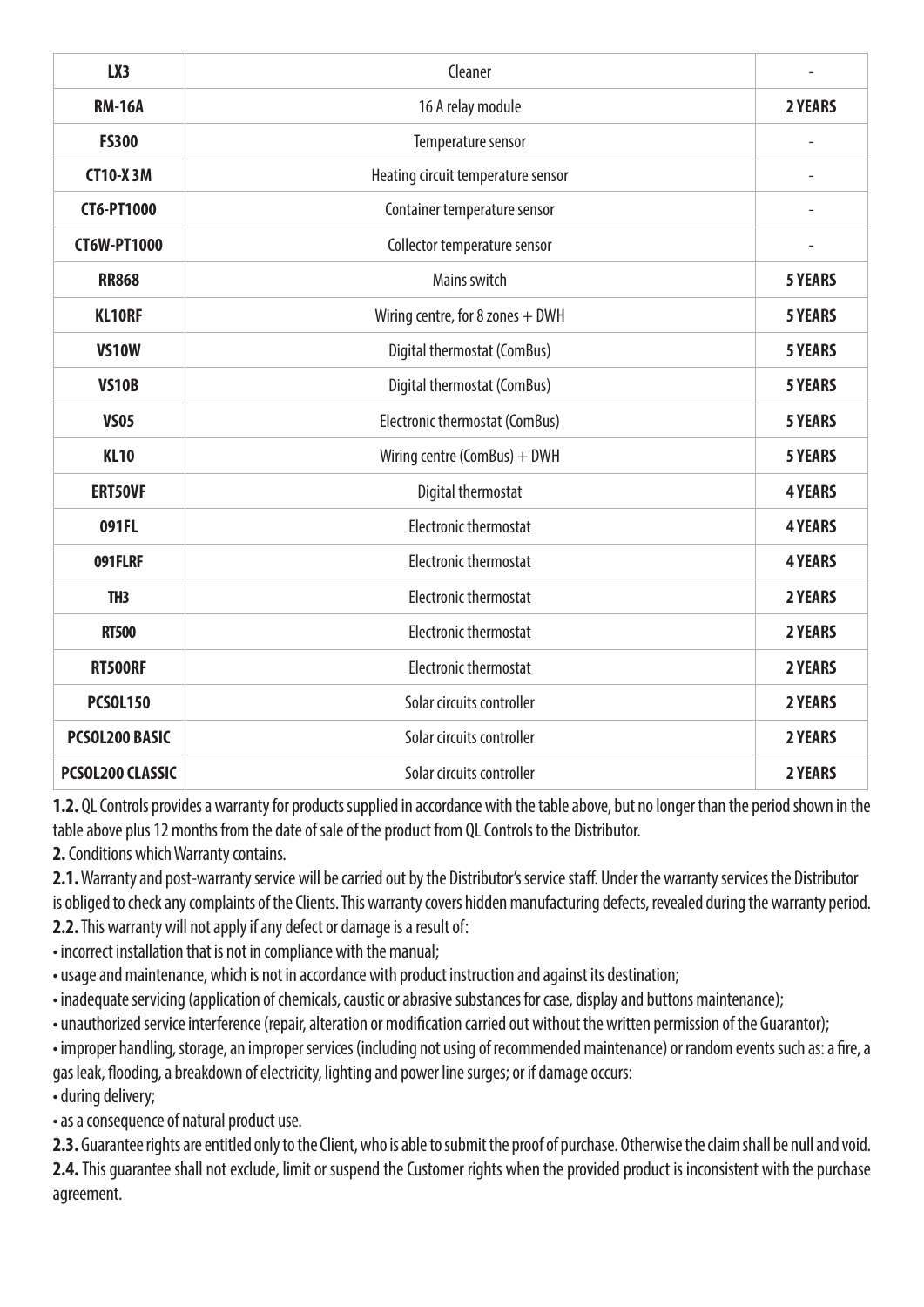| LX3                     | Cleaner                            |                |
|-------------------------|------------------------------------|----------------|
| <b>RM-16A</b>           | 16 A relay module                  | 2 YEARS        |
| <b>FS300</b>            | Temperature sensor                 |                |
| <b>CT10-X3M</b>         | Heating circuit temperature sensor | $\overline{a}$ |
| <b>CT6-PT1000</b>       | Container temperature sensor       |                |
| <b>CT6W-PT1000</b>      | Collector temperature sensor       |                |
| <b>RR868</b>            | Mains switch                       | <b>5 YEARS</b> |
| <b>KL10RF</b>           | Wiring centre, for 8 zones $+$ DWH | <b>5 YEARS</b> |
| <b>VS10W</b>            | Digital thermostat (ComBus)        | <b>5 YEARS</b> |
| <b>VS10B</b>            | Digital thermostat (ComBus)        | <b>5 YEARS</b> |
| <b>VS05</b>             | Electronic thermostat (ComBus)     | <b>5 YEARS</b> |
| <b>KL10</b>             | Wiring centre (ComBus) + DWH       | <b>5 YEARS</b> |
| <b>ERT50VF</b>          | Digital thermostat                 | <b>4 YEARS</b> |
| 091FL                   | <b>Electronic thermostat</b>       | <b>4 YEARS</b> |
| 091FLRF                 | <b>Electronic thermostat</b>       | <b>4 YEARS</b> |
| TH <sub>3</sub>         | <b>Electronic thermostat</b>       | 2 YEARS        |
| <b>RT500</b>            | <b>Electronic thermostat</b>       | 2 YEARS        |
| <b>RT500RF</b>          | <b>Electronic thermostat</b>       | 2 YEARS        |
| <b>PCSOL150</b>         | Solar circuits controller          | 2 YEARS        |
| PCSOL200 BASIC          | Solar circuits controller          | 2 YEARS        |
| <b>PCSOL200 CLASSIC</b> | Solar circuits controller          | 2 YEARS        |

**1.2.** QL Controls provides a warranty for products supplied in accordance with the table above, but no longer than the period shown in the table above plus 12 months from the date of sale of the product from QL Controls to the Distributor.

**2.** Conditions which Warranty contains.

**2.1.** Warranty and post-warranty service will be carried out by the Distributor's service staff. Under the warranty services the Distributor is obliged to check any complaints of the Clients. This warranty covers hidden manufacturing defects, revealed during the warranty period.

**2.2.** This warranty will not apply if any defect or damage is a result of:

• incorrect installation that is not in compliance with the manual;

• usage and maintenance, which is not in accordance with product instruction and against its destination;

• inadequate servicing (application of chemicals, caustic or abrasive substances for case, display and buttons maintenance);

• unauthorized service interference (repair, alteration or modification carried out without the written permission of the Guarantor);

• improper handling, storage, an improper services (including not using of recommended maintenance) or random events such as: a fire, a gas leak, flooding, a breakdown of electricity, lighting and power line surges; or if damage occurs:

• during delivery;

• as a consequence of natural product use.

**2.3.** Guarantee rights are entitled only to the Client, who is able to submit the proof of purchase. Otherwise the claim shall be null and void. **2.4.** This guarantee shall not exclude, limit or suspend the Customer rights when the provided product is inconsistent with the purchase agreement.